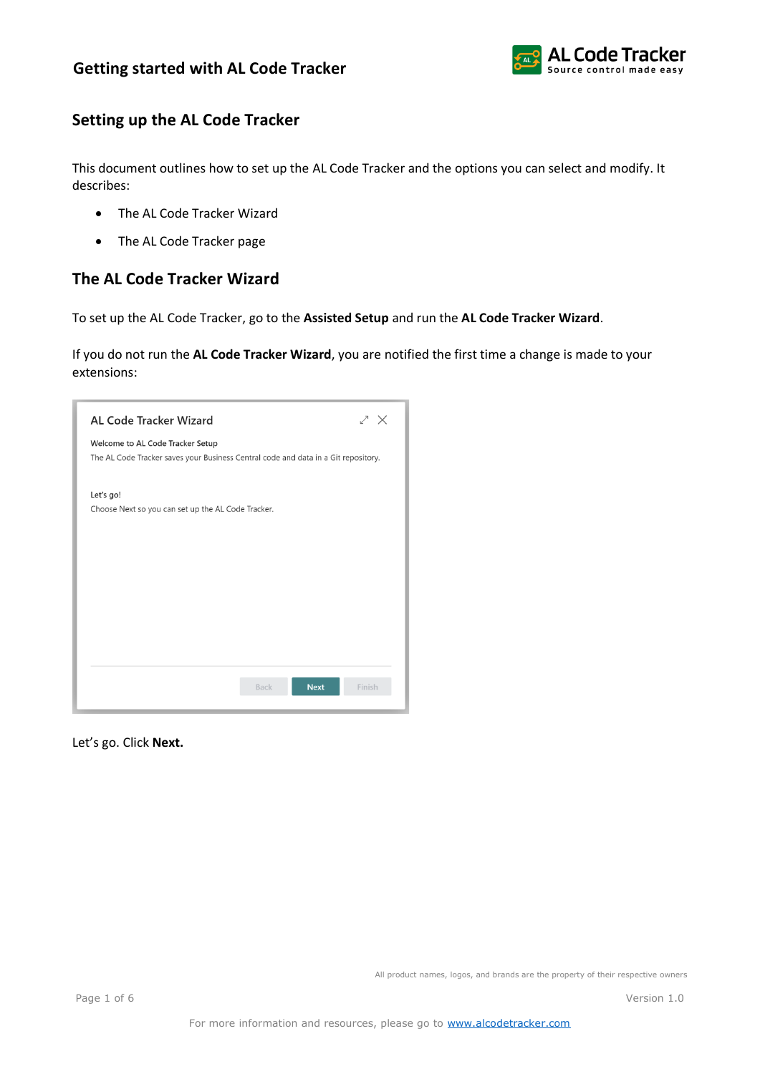

## **Setting up the AL Code Tracker**

This document outlines how to set up the AL Code Tracker and the options you can select and modify. It describes:

- The AL Code Tracker Wizard
- The AL Code Tracker page

## **The AL Code Tracker Wizard**

To set up the AL Code Tracker, go to the **Assisted Setup** and run the **AL Code Tracker Wizard**.

If you do not run the **AL Code Tracker Wizard**, you are notified the first time a change is made to your extensions:

| <b>AL Code Tracker Wizard</b>                                                      |                            | ∠ ×    |
|------------------------------------------------------------------------------------|----------------------------|--------|
| Welcome to AL Code Tracker Setup                                                   |                            |        |
| The AL Code Tracker saves your Business Central code and data in a Git repository. |                            |        |
| Let's go!                                                                          |                            |        |
| Choose Next so you can set up the AL Code Tracker.                                 |                            |        |
|                                                                                    |                            |        |
|                                                                                    |                            |        |
|                                                                                    |                            |        |
|                                                                                    |                            |        |
|                                                                                    |                            |        |
|                                                                                    |                            |        |
|                                                                                    | <b>Next</b><br><b>Back</b> | Finish |
|                                                                                    |                            |        |

Let's go. Click **Next.**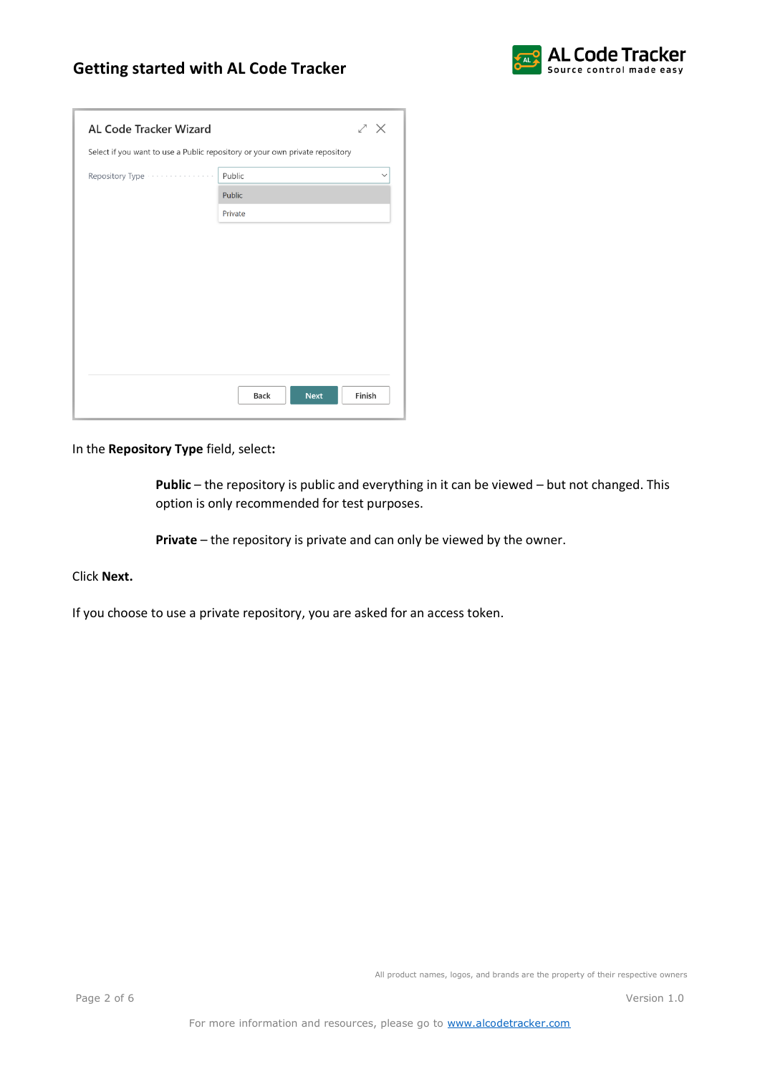# **Getting started with AL Code Tracker**



| ∠ ×                                                                          |  |  |  |  |
|------------------------------------------------------------------------------|--|--|--|--|
| Select if you want to use a Public repository or your own private repository |  |  |  |  |
| Public<br>$\checkmark$                                                       |  |  |  |  |
| Public                                                                       |  |  |  |  |
| Private                                                                      |  |  |  |  |
|                                                                              |  |  |  |  |
|                                                                              |  |  |  |  |
|                                                                              |  |  |  |  |
|                                                                              |  |  |  |  |
|                                                                              |  |  |  |  |
|                                                                              |  |  |  |  |
|                                                                              |  |  |  |  |
|                                                                              |  |  |  |  |
| Finish<br><b>Back</b><br><b>Next</b>                                         |  |  |  |  |
|                                                                              |  |  |  |  |

In the **Repository Type** field, select**:**

**Public** – the repository is public and everything in it can be viewed – but not changed. This option is only recommended for test purposes.

**Private** – the repository is private and can only be viewed by the owner.

### Click **Next.**

If you choose to use a private repository, you are asked for an access token.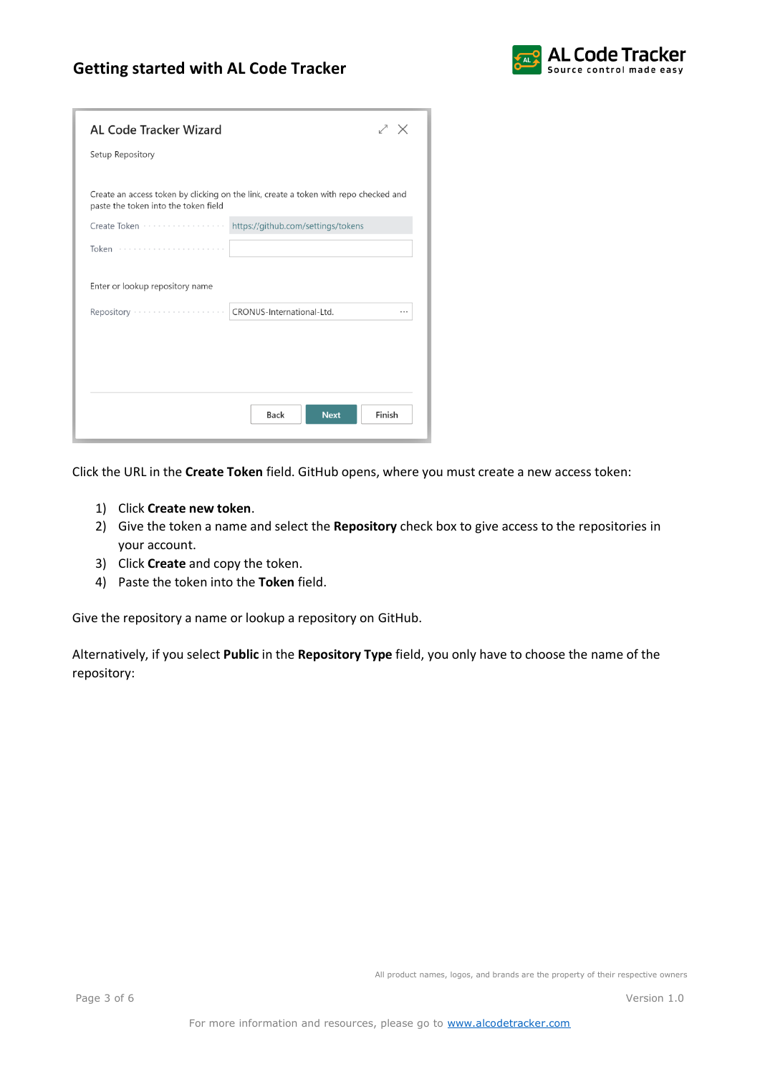### **Getting started with AL Code Tracker**



| AL Code Tracker Wizard                                                                                                       | ∕ ×    |
|------------------------------------------------------------------------------------------------------------------------------|--------|
| Setup Repository                                                                                                             |        |
|                                                                                                                              |        |
| Create an access token by clicking on the link, create a token with repo checked and<br>paste the token into the token field |        |
| Create Token<br>https://github.com/settings/tokens                                                                           |        |
| Token                                                                                                                        |        |
| Enter or lookup repository name                                                                                              |        |
| CRONUS-International-Ltd.<br>Repository                                                                                      | .      |
|                                                                                                                              |        |
|                                                                                                                              |        |
|                                                                                                                              |        |
| <b>Back</b><br><b>Next</b>                                                                                                   | Finish |

Click the URL in the **Create Token** field. GitHub opens, where you must create a new access token:

- 1) Click **Create new token**.
- 2) Give the token a name and select the **Repository** check box to give access to the repositories in your account.
- 3) Click **Create** and copy the token.
- 4) Paste the token into the **Token** field.

Give the repository a name or lookup a repository on GitHub.

Alternatively, if you select **Public** in the **Repository Type** field, you only have to choose the name of the repository: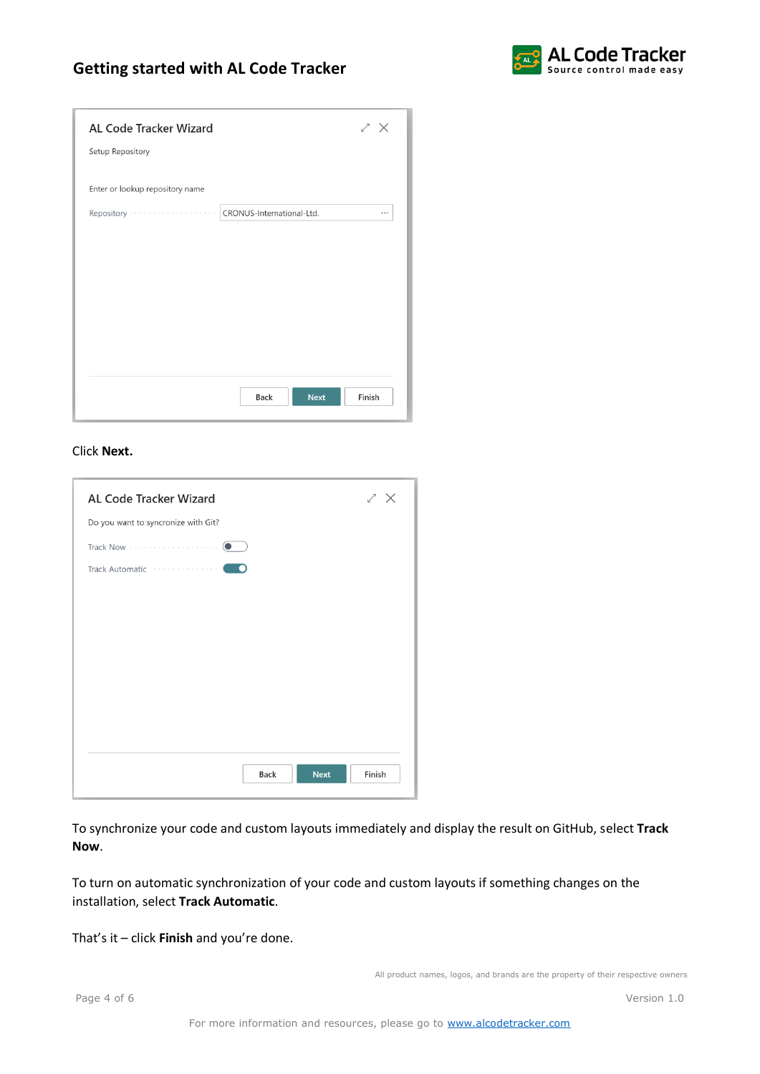# **Getting started with AL Code Tracker**



| <b>AL Code Tracker Wizard</b>   | zχ                                   |
|---------------------------------|--------------------------------------|
| Setup Repository                |                                      |
|                                 |                                      |
| Enter or lookup repository name |                                      |
|                                 | $\cdots$                             |
|                                 |                                      |
|                                 |                                      |
|                                 |                                      |
|                                 |                                      |
|                                 |                                      |
|                                 |                                      |
|                                 |                                      |
|                                 |                                      |
|                                 |                                      |
|                                 | Finish<br><b>Back</b><br><b>Next</b> |

#### Click **Next.**

| <b>AL Code Tracker Wizard</b>                 | ∠ ×    |
|-----------------------------------------------|--------|
| Do you want to syncronize with Git?           |        |
| $\bullet$                                     |        |
| Track Automatic Francescond<br><b>CONTENT</b> |        |
|                                               |        |
|                                               |        |
|                                               |        |
|                                               |        |
|                                               |        |
|                                               |        |
|                                               |        |
| Back<br><b>Next</b>                           | Finish |

To synchronize your code and custom layouts immediately and display the result on GitHub, select **Track Now**.

To turn on automatic synchronization of your code and custom layouts if something changes on the installation, select **Track Automatic**.

That's it – click **Finish** and you're done.

All product names, logos, and brands are the property of their respective owners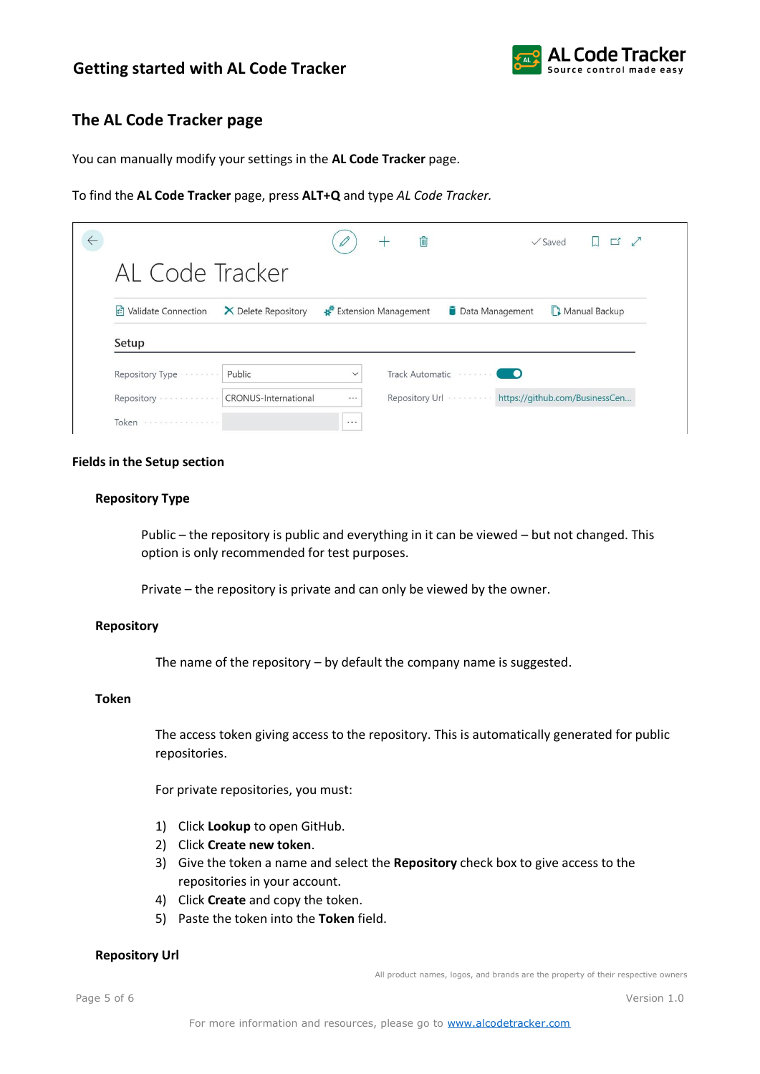

## **The AL Code Tracker page**

You can manually modify your settings in the **AL Code Tracker** page.

To find the **AL Code Tracker** page, press **ALT+Q** and type *AL Code Tracker.*

|                                       |                      |              | û                    |                                | $\sqrt{\mathsf{Saved}}$ |                                |
|---------------------------------------|----------------------|--------------|----------------------|--------------------------------|-------------------------|--------------------------------|
| AL Code Tracker                       |                      |              |                      |                                |                         |                                |
|                                       |                      |              |                      | Data Management                |                         | Manual Backup                  |
| ी Validate Connection                 | X Delete Repository  |              | Extension Management |                                |                         |                                |
| Setup                                 |                      |              |                      |                                |                         |                                |
| Repository Type                       | Public               | $\checkmark$ |                      | Track Automatic                |                         |                                |
| Repository<br>and a summer and and at | CRONUS-International |              |                      | Repository Url <b>Superior</b> |                         | https://github.com/BusinessCen |

#### **Fields in the Setup section**

### **Repository Type**

Public – the repository is public and everything in it can be viewed – but not changed. This option is only recommended for test purposes.

Private – the repository is private and can only be viewed by the owner.

#### **Repository**

The name of the repository – by default the company name is suggested.

### **Token**

The access token giving access to the repository. This is automatically generated for public repositories.

For private repositories, you must:

- 1) Click **Lookup** to open GitHub.
- 2) Click **Create new token**.
- 3) Give the token a name and select the **Repository** check box to give access to the repositories in your account.
- 4) Click **Create** and copy the token.
- 5) Paste the token into the **Token** field.

### **Repository Url**

All product names, logos, and brands are the property of their respective owners